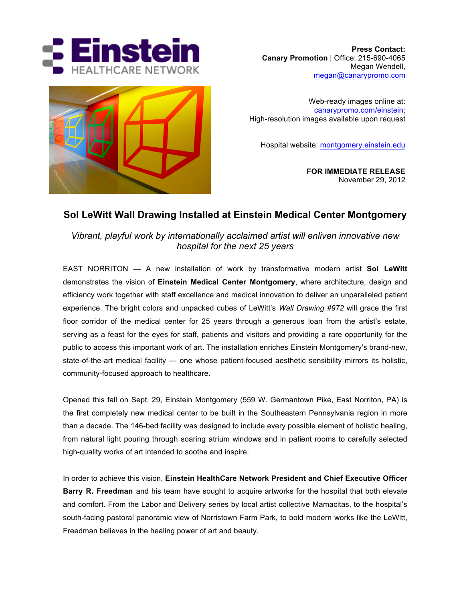





Web-ready images online at: canarypromo.com/einstein; High-resolution images available upon request

Hospital website: montgomery.einstein.edu

**FOR IMMEDIATE RELEASE** November 29, 2012

## **Sol LeWitt Wall Drawing Installed at Einstein Medical Center Montgomery**

*Vibrant, playful work by internationally acclaimed artist will enliven innovative new hospital for the next 25 years*

EAST NORRITON — A new installation of work by transformative modern artist **Sol LeWitt** demonstrates the vision of **Einstein Medical Center Montgomery**, where architecture, design and efficiency work together with staff excellence and medical innovation to deliver an unparalleled patient experience. The bright colors and unpacked cubes of LeWitt's *Wall Drawing #972* will grace the first floor corridor of the medical center for 25 years through a generous loan from the artist's estate, serving as a feast for the eyes for staff, patients and visitors and providing a rare opportunity for the public to access this important work of art. The installation enriches Einstein Montgomery's brand-new, state-of-the-art medical facility — one whose patient-focused aesthetic sensibility mirrors its holistic, community-focused approach to healthcare.

Opened this fall on Sept. 29, Einstein Montgomery (559 W. Germantown Pike, East Norriton, PA) is the first completely new medical center to be built in the Southeastern Pennsylvania region in more than a decade. The 146-bed facility was designed to include every possible element of holistic healing, from natural light pouring through soaring atrium windows and in patient rooms to carefully selected high-quality works of art intended to soothe and inspire.

In order to achieve this vision, **Einstein HealthCare Network President and Chief Executive Officer Barry R. Freedman** and his team have sought to acquire artworks for the hospital that both elevate and comfort. From the Labor and Delivery series by local artist collective Mamacitas, to the hospital's south-facing pastoral panoramic view of Norristown Farm Park, to bold modern works like the LeWitt, Freedman believes in the healing power of art and beauty.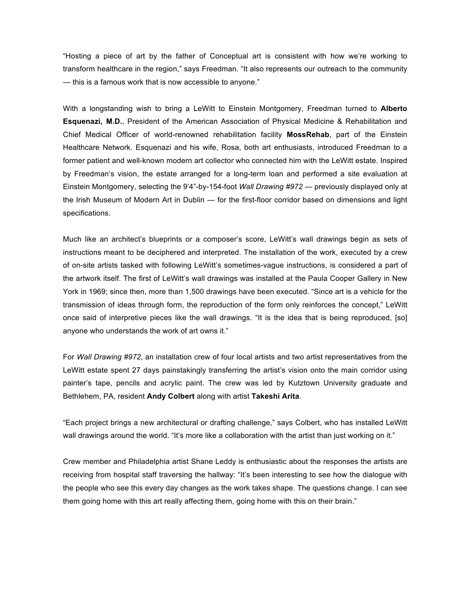"Hosting a piece of art by the father of Conceptual art is consistent with how we're working to transform healthcare in the region," says Freedman. "It also represents our outreach to the community — this is a famous work that is now accessible to anyone."

With a longstanding wish to bring a LeWitt to Einstein Montgomery, Freedman turned to **Alberto Esquenazi, M.D.**, President of the American Association of Physical Medicine & Rehabilitation and Chief Medical Officer of world-renowned rehabilitation facility **MossRehab**, part of the Einstein Healthcare Network. Esquenazi and his wife, Rosa, both art enthusiasts, introduced Freedman to a former patient and well-known modern art collector who connected him with the LeWitt estate. Inspired by Freedman's vision, the estate arranged for a long-term loan and performed a site evaluation at Einstein Montgomery, selecting the 9'4"-by-154-foot *Wall Drawing #972* — previously displayed only at the Irish Museum of Modern Art in Dublin — for the first-floor corridor based on dimensions and light specifications.

Much like an architect's blueprints or a composer's score, LeWitt's wall drawings begin as sets of instructions meant to be deciphered and interpreted. The installation of the work, executed by a crew of on-site artists tasked with following LeWitt's sometimes-vague instructions, is considered a part of the artwork itself. The first of LeWitt's wall drawings was installed at the Paula Cooper Gallery in New York in 1969; since then, more than 1,500 drawings have been executed. "Since art is a vehicle for the transmission of ideas through form, the reproduction of the form only reinforces the concept," LeWitt once said of interpretive pieces like the wall drawings. "It is the idea that is being reproduced, [so] anyone who understands the work of art owns it."

For *Wall Drawing #972*, an installation crew of four local artists and two artist representatives from the LeWitt estate spent 27 days painstakingly transferring the artist's vision onto the main corridor using painter's tape, pencils and acrylic paint. The crew was led by Kutztown University graduate and Bethlehem, PA, resident **Andy Colbert** along with artist **Takeshi Arita**.

"Each project brings a new architectural or drafting challenge," says Colbert, who has installed LeWitt wall drawings around the world. "It's more like a collaboration with the artist than just working on it."

Crew member and Philadelphia artist Shane Leddy is enthusiastic about the responses the artists are receiving from hospital staff traversing the hallway: "It's been interesting to see how the dialogue with the people who see this every day changes as the work takes shape. The questions change. I can see them going home with this art really affecting them, going home with this on their brain."